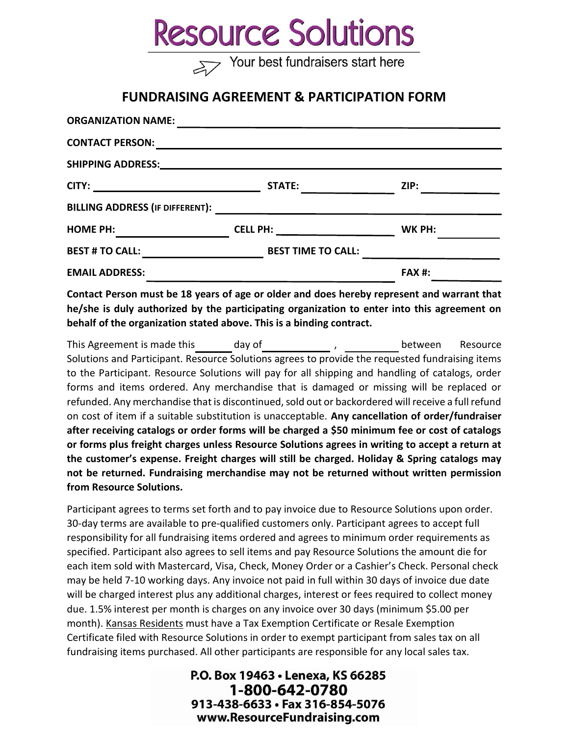## **Resource Solutions**

Your best fundraisers start here

## FUNDRAISING AGREEMENT & PARTICIPATION FORM

| <b>ORGANIZATION NAME:</b> |                                                                                                                       |               |
|---------------------------|-----------------------------------------------------------------------------------------------------------------------|---------------|
| <b>CONTACT PERSON:</b>    | <u> 1980 - An t-Alban Alban an t-Alban an t-Alban an t-Alban an t-Alban an t-Alban an t-Alban an t-Alban an t-Alb</u> |               |
|                           |                                                                                                                       |               |
| CITY:                     | STATE: THE STATE:                                                                                                     | ZIP:          |
|                           |                                                                                                                       |               |
| <b>HOME PH:</b>           |                                                                                                                       | WK PH:        |
| <b>BEST # TO CALL:</b>    | <b>BEST TIME TO CALL:</b>                                                                                             |               |
| <b>EMAIL ADDRESS:</b>     |                                                                                                                       | <b>FAX #:</b> |

Contact Person must be 18 years of age or older and does hereby represent and warrant that he/she is duly authorized by the participating organization to enter into this agreement on behalf of the organization stated above. This is a binding contract.

This Agreement is made this day of the state of the section of the section of the Resource Solutions and Participant. Resource Solutions agrees to provide the requested fundraising items to the Participant. Resource Solutions will pay for all shipping and handling of catalogs, order forms and items ordered. Any merchandise that is damaged or missing will be replaced or refunded. Any merchandise that is discontinued, sold out or backordered will receive a full refund on cost of item if a suitable substitution is unacceptable. Any cancellation of order/fundraiser after receiving catalogs or order forms will be charged a \$50 minimum fee or cost of catalogs or forms plus freight charges unless Resource Solutions agrees in writing to accept a return at the customer's expense. Freight charges will still be charged. Holiday & Spring catalogs may not be returned. Fundraising merchandise may not be returned without written permission from Resource Solutions.

Participant agrees to terms set forth and to pay invoice due to Resource Solutions upon order. 30-day terms are available to pre-qualified customers only. Participant agrees to accept full responsibility for all fundraising items ordered and agrees to minimum order requirements as specified. Participant also agrees to sell items and pay Resource Solutions the amount die for each item sold with Mastercard, Visa, Check, Money Order or a Cashier's Check. Personal check may be held 7-10 working days. Any invoice not paid in full within 30 days of invoice due date will be charged interest plus any additional charges, interest or fees required to collect money due. 1.5% interest per month is charges on any invoice over 30 days (minimum \$5.00 per month). Kansas Residents must have a Tax Exemption Certificate or Resale Exemption Certificate filed with Resource Solutions in order to exempt participant from sales tax on all fundraising items purchased. All other participants are responsible for any local sales tax.

> P.O. Box 19463 . Lenexa, KS 66285 1-800-642-0780 913-438-6633 · Fax 316-854-5076 www.ResourceFundraising.com